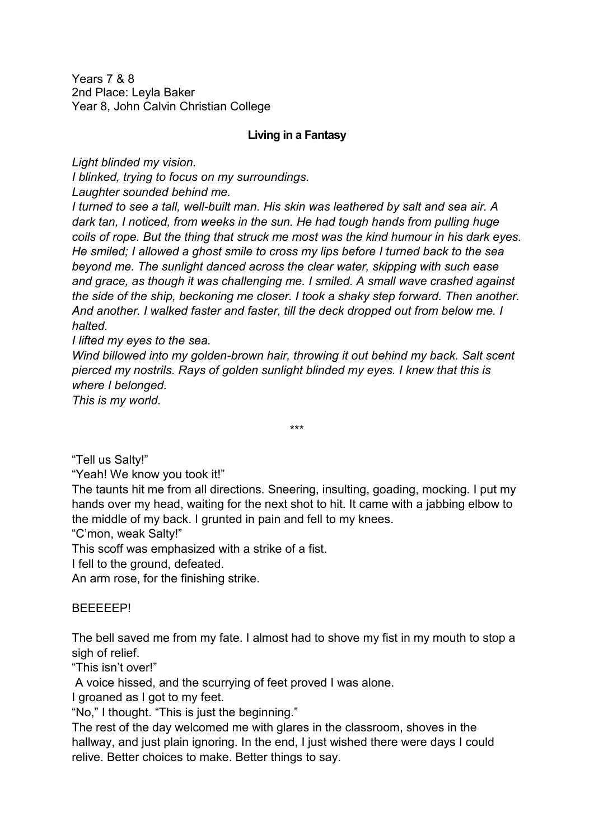Years 7 & 8 2nd Place: Leyla Baker Year 8, John Calvin Christian College

## **Living in a Fantasy**

*Light blinded my vision.* 

*I blinked, trying to focus on my surroundings.* 

*Laughter sounded behind me.* 

*I turned to see a tall, well-built man. His skin was leathered by salt and sea air. A dark tan, I noticed, from weeks in the sun. He had tough hands from pulling huge coils of rope. But the thing that struck me most was the kind humour in his dark eyes. He smiled; I allowed a ghost smile to cross my lips before I turned back to the sea beyond me. The sunlight danced across the clear water, skipping with such ease and grace, as though it was challenging me. I smiled. A small wave crashed against the side of the ship, beckoning me closer. I took a shaky step forward. Then another. And another. I walked faster and faster, till the deck dropped out from below me. I halted.* 

*I lifted my eyes to the sea.* 

*Wind billowed into my golden-brown hair, throwing it out behind my back. Salt scent pierced my nostrils. Rays of golden sunlight blinded my eyes. I knew that this is where I belonged.* 

*This is my world.* 

\*\*\*

"Tell us Salty!"

"Yeah! We know you took it!"

The taunts hit me from all directions. Sneering, insulting, goading, mocking. I put my hands over my head, waiting for the next shot to hit. It came with a jabbing elbow to the middle of my back. I grunted in pain and fell to my knees.

"C'mon, weak Salty!"

This scoff was emphasized with a strike of a fist.

I fell to the ground, defeated.

An arm rose, for the finishing strike.

BEEEEEP!

The bell saved me from my fate. I almost had to shove my fist in my mouth to stop a sigh of relief.

"This isn't over!"

A voice hissed, and the scurrying of feet proved I was alone.

I groaned as I got to my feet.

"No," I thought. "This is just the beginning."

The rest of the day welcomed me with glares in the classroom, shoves in the hallway, and just plain ignoring. In the end, I just wished there were days I could relive. Better choices to make. Better things to say.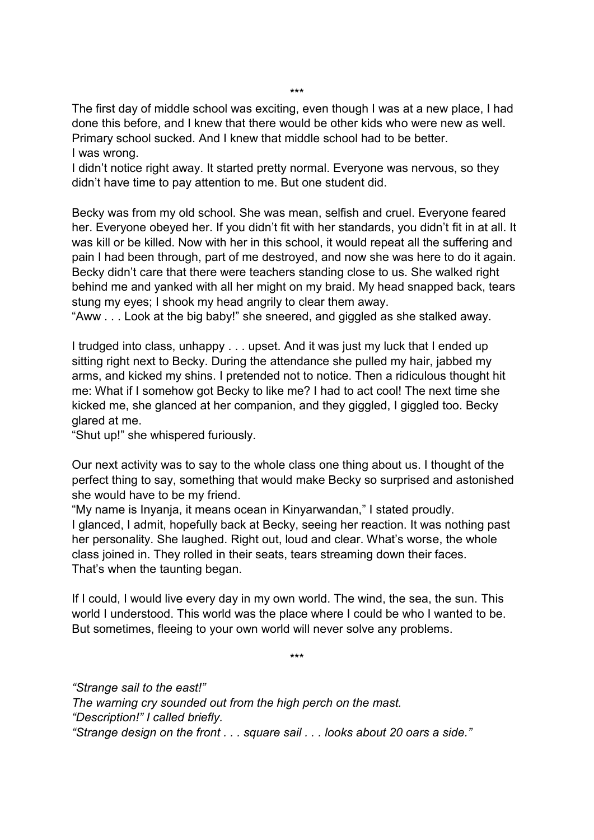\*\*\*

The first day of middle school was exciting, even though I was at a new place, I had done this before, and I knew that there would be other kids who were new as well. Primary school sucked. And I knew that middle school had to be better. I was wrong.

I didn't notice right away. It started pretty normal. Everyone was nervous, so they didn't have time to pay attention to me. But one student did.

Becky was from my old school. She was mean, selfish and cruel. Everyone feared her. Everyone obeyed her. If you didn't fit with her standards, you didn't fit in at all. It was kill or be killed. Now with her in this school, it would repeat all the suffering and pain I had been through, part of me destroyed, and now she was here to do it again. Becky didn't care that there were teachers standing close to us. She walked right behind me and yanked with all her might on my braid. My head snapped back, tears stung my eyes; I shook my head angrily to clear them away.

"Aww . . . Look at the big baby!" she sneered, and giggled as she stalked away.

I trudged into class, unhappy . . . upset. And it was just my luck that I ended up sitting right next to Becky. During the attendance she pulled my hair, jabbed my arms, and kicked my shins. I pretended not to notice. Then a ridiculous thought hit me: What if I somehow got Becky to like me? I had to act cool! The next time she kicked me, she glanced at her companion, and they giggled, I giggled too. Becky glared at me.

"Shut up!" she whispered furiously.

Our next activity was to say to the whole class one thing about us. I thought of the perfect thing to say, something that would make Becky so surprised and astonished she would have to be my friend.

"My name is Inyanja, it means ocean in Kinyarwandan," I stated proudly. I glanced, I admit, hopefully back at Becky, seeing her reaction. It was nothing past her personality. She laughed. Right out, loud and clear. What's worse, the whole class joined in. They rolled in their seats, tears streaming down their faces. That's when the taunting began.

If I could, I would live every day in my own world. The wind, the sea, the sun. This world I understood. This world was the place where I could be who I wanted to be. But sometimes, fleeing to your own world will never solve any problems.

\*\*\*

*"Strange sail to the east!" The warning cry sounded out from the high perch on the mast. "Description!" I called briefly. "Strange design on the front . . . square sail . . . looks about 20 oars a side."*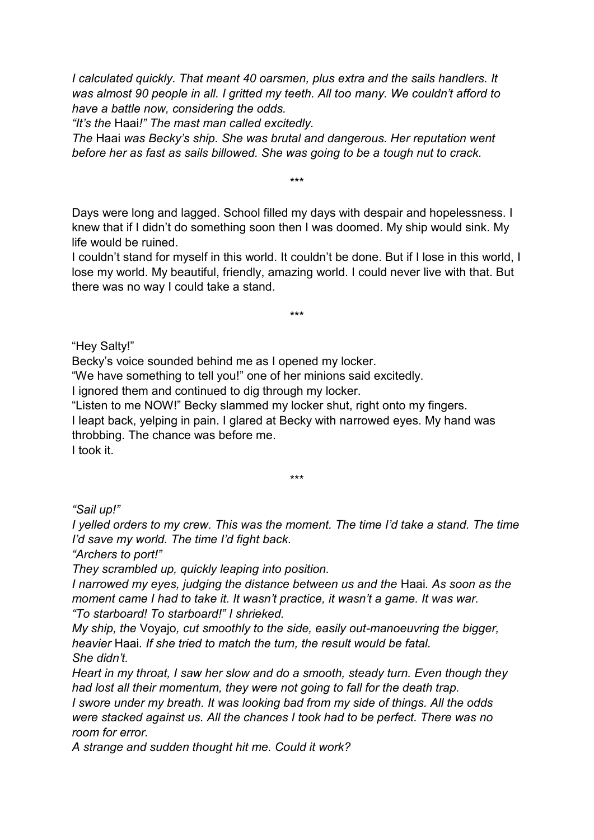*I calculated quickly. That meant 40 oarsmen, plus extra and the sails handlers. It was almost 90 people in all. I gritted my teeth. All too many. We couldn't afford to have a battle now, considering the odds.* 

*"It's the* Haai*!" The mast man called excitedly.* 

*The* Haai *was Becky's ship. She was brutal and dangerous. Her reputation went before her as fast as sails billowed. She was going to be a tough nut to crack.* 

\*\*\*

Days were long and lagged. School filled my days with despair and hopelessness. I knew that if I didn't do something soon then I was doomed. My ship would sink. My life would be ruined.

I couldn't stand for myself in this world. It couldn't be done. But if I lose in this world, I lose my world. My beautiful, friendly, amazing world. I could never live with that. But there was no way I could take a stand.

\*\*\*

"Hey Salty!"

Becky's voice sounded behind me as I opened my locker.

"We have something to tell you!" one of her minions said excitedly.

I ignored them and continued to dig through my locker.

"Listen to me NOW!" Becky slammed my locker shut, right onto my fingers.

I leapt back, yelping in pain. I glared at Becky with narrowed eyes. My hand was throbbing. The chance was before me.

I took it.

\*\*\*

*"Sail up!"*

*I* yelled orders to my crew. This was the moment. The time I'd take a stand. The time *I'd save my world. The time I'd fight back.*

*"Archers to port!"*

*They scrambled up, quickly leaping into position.*

*I narrowed my eyes, judging the distance between us and the* Haai*. As soon as the moment came I had to take it. It wasn't practice, it wasn't a game. It was war. "To starboard! To starboard!" I shrieked.*

*My ship, the* Voyajo*, cut smoothly to the side, easily out-manoeuvring the bigger, heavier* Haai*. If she tried to match the turn, the result would be fatal. She didn't.*

*Heart in my throat, I saw her slow and do a smooth, steady turn. Even though they had lost all their momentum, they were not going to fall for the death trap.*

*I swore under my breath. It was looking bad from my side of things. All the odds were stacked against us. All the chances I took had to be perfect. There was no room for error.*

*A strange and sudden thought hit me. Could it work?*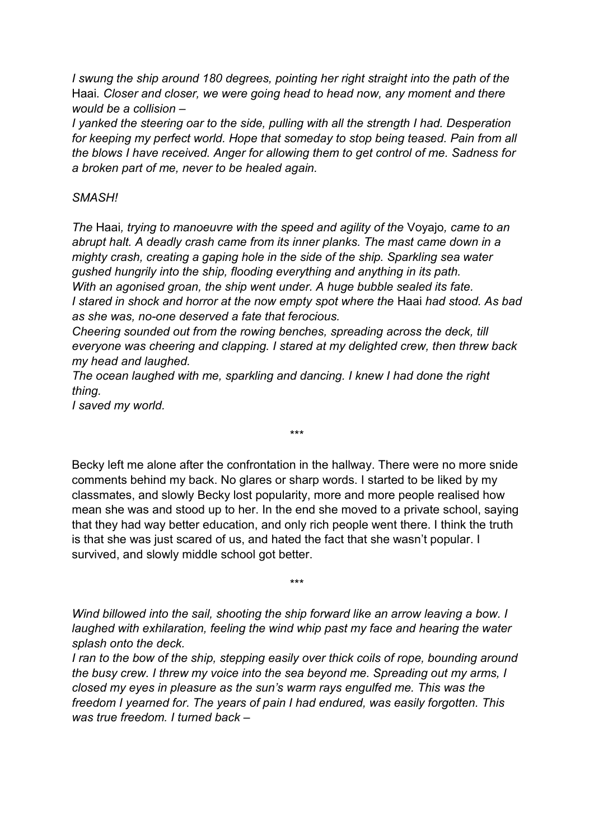*I swung the ship around 180 degrees, pointing her right straight into the path of the*  Haai*. Closer and closer, we were going head to head now, any moment and there would be a collision –*

*I yanked the steering oar to the side, pulling with all the strength I had. Desperation for keeping my perfect world. Hope that someday to stop being teased. Pain from all the blows I have received. Anger for allowing them to get control of me. Sadness for a broken part of me, never to be healed again.*

## *SMASH!*

*The* Haai*, trying to manoeuvre with the speed and agility of the* Voyajo*, came to an abrupt halt. A deadly crash came from its inner planks. The mast came down in a mighty crash, creating a gaping hole in the side of the ship. Sparkling sea water gushed hungrily into the ship, flooding everything and anything in its path. With an agonised groan, the ship went under. A huge bubble sealed its fate. I stared in shock and horror at the now empty spot where the* Haai *had stood. As bad as she was, no-one deserved a fate that ferocious.*

*Cheering sounded out from the rowing benches, spreading across the deck, till everyone was cheering and clapping. I stared at my delighted crew, then threw back my head and laughed.*

*The ocean laughed with me, sparkling and dancing. I knew I had done the right thing.* 

*I saved my world.*

Becky left me alone after the confrontation in the hallway. There were no more snide comments behind my back. No glares or sharp words. I started to be liked by my classmates, and slowly Becky lost popularity, more and more people realised how mean she was and stood up to her. In the end she moved to a private school, saying that they had way better education, and only rich people went there. I think the truth is that she was just scared of us, and hated the fact that she wasn't popular. I survived, and slowly middle school got better.

\*\*\*

*Wind billowed into the sail, shooting the ship forward like an arrow leaving a bow. I laughed with exhilaration, feeling the wind whip past my face and hearing the water splash onto the deck.*

\*\*\*

*I ran to the bow of the ship, stepping easily over thick coils of rope, bounding around the busy crew. I threw my voice into the sea beyond me. Spreading out my arms, I closed my eyes in pleasure as the sun's warm rays engulfed me. This was the freedom I yearned for. The years of pain I had endured, was easily forgotten. This was true freedom. I turned back –*